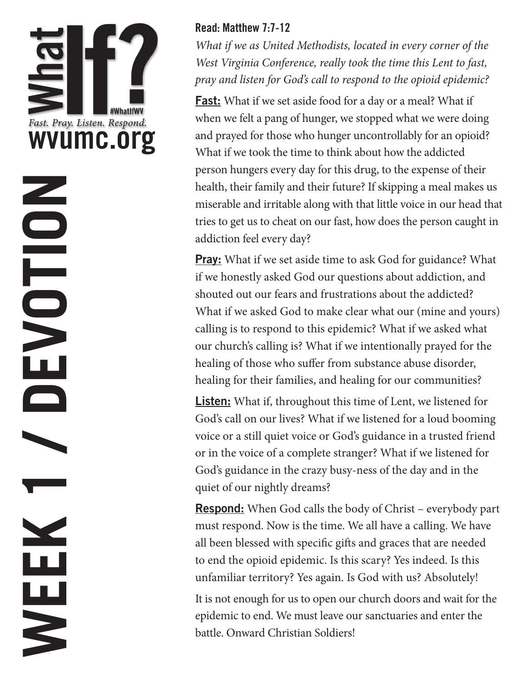

#### Read: Matthew 7:7-12

*What if we as United Methodists, located in every corner of the West Virginia Conference, really took the time this Lent to fast, pray and listen for God's call to respond to the opioid epidemic?*

Fast: What if we set aside food for a day or a meal? What if when we felt a pang of hunger, we stopped what we were doing and prayed for those who hunger uncontrollably for an opioid? What if we took the time to think about how the addicted person hungers every day for this drug, to the expense of their health, their family and their future? If skipping a meal makes us miserable and irritable along with that little voice in our head that tries to get us to cheat on our fast, how does the person caught in addiction feel every day?

**Pray:** What if we set aside time to ask God for guidance? What if we honestly asked God our questions about addiction, and shouted out our fears and frustrations about the addicted? What if we asked God to make clear what our (mine and yours) calling is to respond to this epidemic? What if we asked what our church's calling is? What if we intentionally prayed for the healing of those who suffer from substance abuse disorder, healing for their families, and healing for our communities?

**Listen:** What if, throughout this time of Lent, we listened for God's call on our lives? What if we listened for a loud booming voice or a still quiet voice or God's guidance in a trusted friend or in the voice of a complete stranger? What if we listened for God's guidance in the crazy busy-ness of the day and in the quiet of our nightly dreams?

**Respond:** When God calls the body of Christ – everybody part must respond. Now is the time. We all have a calling. We have all been blessed with specific gifts and graces that are needed to end the opioid epidemic. Is this scary? Yes indeed. Is this unfamiliar territory? Yes again. Is God with us? Absolutely!

It is not enough for us to open our church doors and wait for the epidemic to end. We must leave our sanctuaries and enter the battle. Onward Christian Soldiers!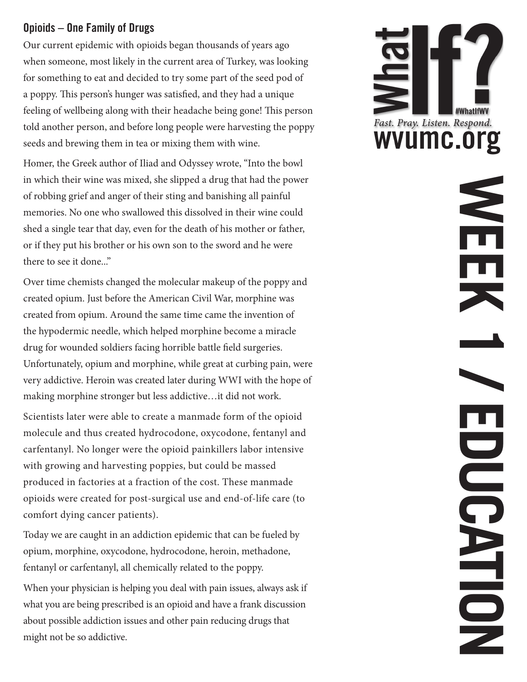#### Opioids – One Family of Drugs

Our current epidemic with opioids began thousands of years ago when someone, most likely in the current area of Turkey, was looking for something to eat and decided to try some part of the seed pod of a poppy. This person's hunger was satisfied, and they had a unique feeling of wellbeing along with their headache being gone! This person told another person, and before long people were harvesting the poppy seeds and brewing them in tea or mixing them with wine.

Homer, the Greek author of Iliad and Odyssey wrote, "Into the bowl in which their wine was mixed, she slipped a drug that had the power of robbing grief and anger of their sting and banishing all painful memories. No one who swallowed this dissolved in their wine could shed a single tear that day, even for the death of his mother or father, or if they put his brother or his own son to the sword and he were there to see it done..."

Over time chemists changed the molecular makeup of the poppy and created opium. Just before the American Civil War, morphine was created from opium. Around the same time came the invention of the hypodermic needle, which helped morphine become a miracle drug for wounded soldiers facing horrible battle field surgeries. Unfortunately, opium and morphine, while great at curbing pain, were very addictive. Heroin was created later during WWI with the hope of making morphine stronger but less addictive…it did not work.

Scientists later were able to create a manmade form of the opioid molecule and thus created hydrocodone, oxycodone, fentanyl and carfentanyl. No longer were the opioid painkillers labor intensive with growing and harvesting poppies, but could be massed produced in factories at a fraction of the cost. These manmade opioids were created for post-surgical use and end-of-life care (to comfort dying cancer patients).

Today we are caught in an addiction epidemic that can be fueled by opium, morphine, oxycodone, hydrocodone, heroin, methadone, fentanyl or carfentanyl, all chemically related to the poppy.

When your physician is helping you deal with pain issues, always ask if what you are being prescribed is an opioid and have a frank discussion about possible addiction issues and other pain reducing drugs that might not be so addictive.



**WEEK 1 / EDUCATION**

UD<br>O<br>O

NION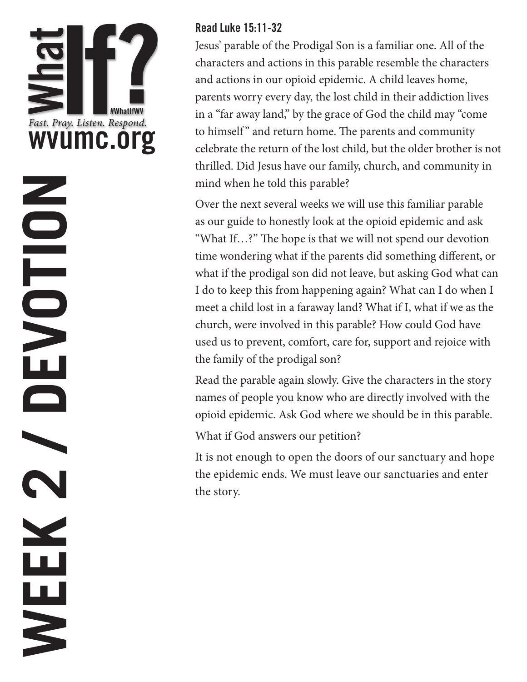## **WEEK 2 / DEVOTION**NOLD N  $\overline{\phantom{0}}$ **Service** N WEEK

#### Read Luke 15:11-32

Jesus' parable of the Prodigal Son is a familiar one. All of the characters and actions in this parable resemble the characters and actions in our opioid epidemic. A child leaves home, parents worry every day, the lost child in their addiction lives in a "far away land," by the grace of God the child may "come to himself" and return home. The parents and community celebrate the return of the lost child, but the older brother is not thrilled. Did Jesus have our family, church, and community in mind when he told this parable?

Over the next several weeks we will use this familiar parable as our guide to honestly look at the opioid epidemic and ask "What If…?" The hope is that we will not spend our devotion time wondering what if the parents did something different, or what if the prodigal son did not leave, but asking God what can I do to keep this from happening again? What can I do when I meet a child lost in a faraway land? What if I, what if we as the church, were involved in this parable? How could God have used us to prevent, comfort, care for, support and rejoice with the family of the prodigal son?

Read the parable again slowly. Give the characters in the story names of people you know who are directly involved with the opioid epidemic. Ask God where we should be in this parable.

#### What if God answers our petition?

It is not enough to open the doors of our sanctuary and hope the epidemic ends. We must leave our sanctuaries and enter the story.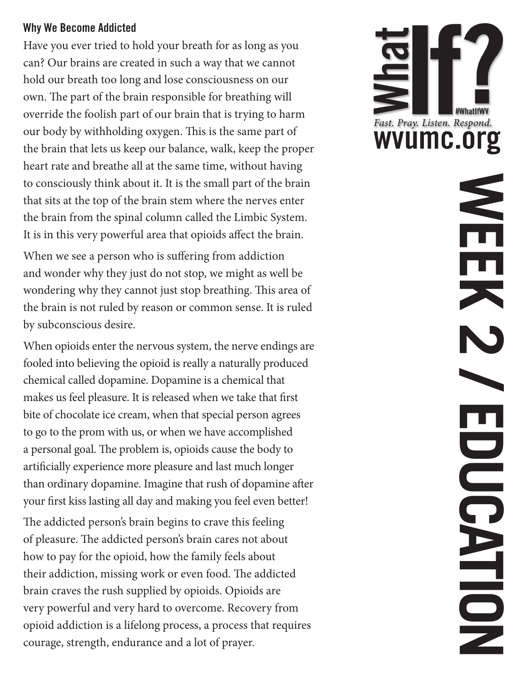#### Why We Become Addicted

Have you ever tried to hold your breath for as long as you can? Our brains are created in such a way that we cannot hold our breath too long and lose consciousness on our own. The part of the brain responsible for breathing will override the foolish part of our brain that is trying to harm our body by withholding oxygen. This is the same part of the brain that lets us keep our balance, walk, keep the proper heart rate and breathe all at the same time, without having to consciously think about it. It is the small part of the brain that sits at the top of the brain stem where the nerves enter the brain from the spinal column called the Limbic System. It is in this very powerful area that opioids affect the brain.

When we see a person who is suffering from addiction and wonder why they just do not stop, we might as well be wondering why they cannot just stop breathing. This area of the brain is not ruled by reason or common sense. It is ruled by subconscious desire.

When opioids enter the nervous system, the nerve endings are fooled into believing the opioid is really a naturally produced chemical called dopamine. Dopamine is a chemical that makes us feel pleasure. It is released when we take that first bite of chocolate ice cream, when that special person agrees to go to the prom with us, or when we have accomplished a personal goal. The problem is, opioids cause the body to artificially experience more pleasure and last much longer than ordinary dopamine. Imagine that rush of dopamine after your first kiss lasting all day and making you feel even better!

The addicted person's brain begins to crave this feeling of pleasure. The addicted person's brain cares not about how to pay for the opioid, how the family feels about their addiction, missing work or even food. The addicted brain craves the rush supplied by opioids. Opioids are very powerful and very hard to overcome. Recovery from opioid addiction is a lifelong process, a process that requires courage, strength, endurance and a lot of prayer.



**WEEK 2 / EDUCATION** $\mathbf{r}$ O OC N DIS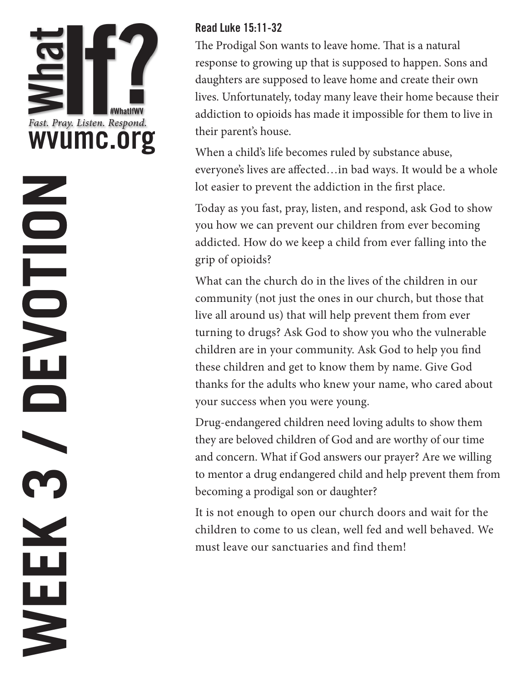**WEEK 3 / DEVOTION**

**Second** Contract on the Contract of the Contract of the Contract of the Contract of the Contract of the Contract of the Contract of the Contract of the Contract of the Contract of the Contract of the Contract of the Contr

WEEK

NOLVENO

#### Read Luke 15:11-32

The Prodigal Son wants to leave home. That is a natural response to growing up that is supposed to happen. Sons and daughters are supposed to leave home and create their own lives. Unfortunately, today many leave their home because their addiction to opioids has made it impossible for them to live in their parent's house.

When a child's life becomes ruled by substance abuse, everyone's lives are affected…in bad ways. It would be a whole lot easier to prevent the addiction in the first place.

Today as you fast, pray, listen, and respond, ask God to show you how we can prevent our children from ever becoming addicted. How do we keep a child from ever falling into the grip of opioids?

What can the church do in the lives of the children in our community (not just the ones in our church, but those that live all around us) that will help prevent them from ever turning to drugs? Ask God to show you who the vulnerable children are in your community. Ask God to help you find these children and get to know them by name. Give God thanks for the adults who knew your name, who cared about your success when you were young.

Drug-endangered children need loving adults to show them they are beloved children of God and are worthy of our time and concern. What if God answers our prayer? Are we willing to mentor a drug endangered child and help prevent them from becoming a prodigal son or daughter?

It is not enough to open our church doors and wait for the children to come to us clean, well fed and well behaved. We must leave our sanctuaries and find them!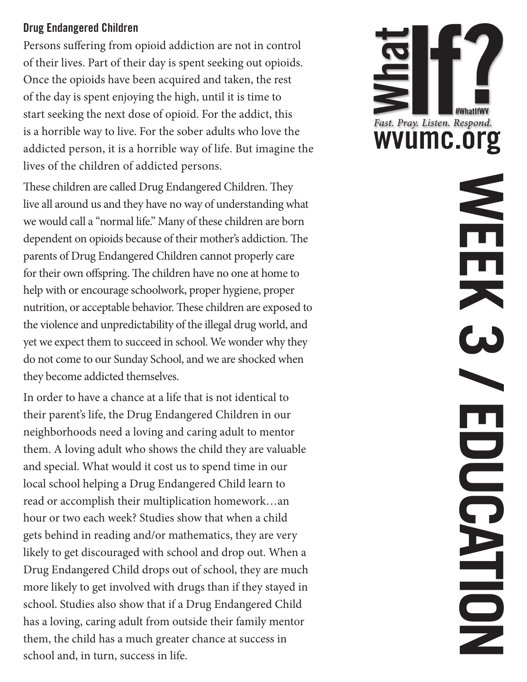#### Drug Endangered Children

Persons suffering from opioid addiction are not in control of their lives. Part of their day is spent seeking out opioids. Once the opioids have been acquired and taken, the rest of the day is spent enjoying the high, until it is time to start seeking the next dose of opioid. For the addict, this is a horrible way to live. For the sober adults who love the addicted person, it is a horrible way of life. But imagine the lives of the children of addicted persons.

These children are called Drug Endangered Children. They live all around us and they have no way of understanding what we would call a "normal life." Many of these children are born dependent on opioids because of their mother's addiction. The parents of Drug Endangered Children cannot properly care for their own offspring. The children have no one at home to help with or encourage schoolwork, proper hygiene, proper nutrition, or acceptable behavior. These children are exposed to the violence and unpredictability of the illegal drug world, and yet we expect them to succeed in school. We wonder why they do not come to our Sunday School, and we are shocked when they become addicted themselves.

In order to have a chance at a life that is not identical to their parent's life, the Drug Endangered Children in our neighborhoods need a loving and caring adult to mentor them. A loving adult who shows the child they are valuable and special. What would it cost us to spend time in our local school helping a Drug Endangered Child learn to read or accomplish their multiplication homework…an hour or two each week? Studies show that when a child gets behind in reading and/or mathematics, they are very likely to get discouraged with school and drop out. When a Drug Endangered Child drops out of school, they are much more likely to get involved with drugs than if they stayed in school. Studies also show that if a Drug Endangered Child has a loving, caring adult from outside their family mentor them, the child has a much greater chance at success in school and, in turn, success in life.



**WEEK 3 / EDUCATION**  $\Box$ DOC. NHON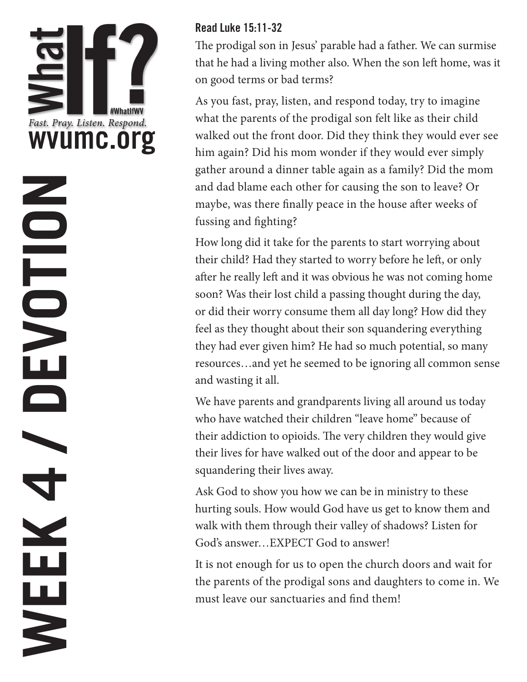## **WEEK 4 / DEVOTION**NOLDED N WEEK

#### Read Luke 15:11-32

The prodigal son in Jesus' parable had a father. We can surmise that he had a living mother also. When the son left home, was it on good terms or bad terms?

As you fast, pray, listen, and respond today, try to imagine what the parents of the prodigal son felt like as their child walked out the front door. Did they think they would ever see him again? Did his mom wonder if they would ever simply gather around a dinner table again as a family? Did the mom and dad blame each other for causing the son to leave? Or maybe, was there finally peace in the house after weeks of fussing and fighting?

How long did it take for the parents to start worrying about their child? Had they started to worry before he left, or only after he really left and it was obvious he was not coming home soon? Was their lost child a passing thought during the day, or did their worry consume them all day long? How did they feel as they thought about their son squandering everything they had ever given him? He had so much potential, so many resources…and yet he seemed to be ignoring all common sense and wasting it all.

We have parents and grandparents living all around us today who have watched their children "leave home" because of their addiction to opioids. The very children they would give their lives for have walked out of the door and appear to be squandering their lives away.

Ask God to show you how we can be in ministry to these hurting souls. How would God have us get to know them and walk with them through their valley of shadows? Listen for God's answer…EXPECT God to answer!

It is not enough for us to open the church doors and wait for the parents of the prodigal sons and daughters to come in. We must leave our sanctuaries and find them!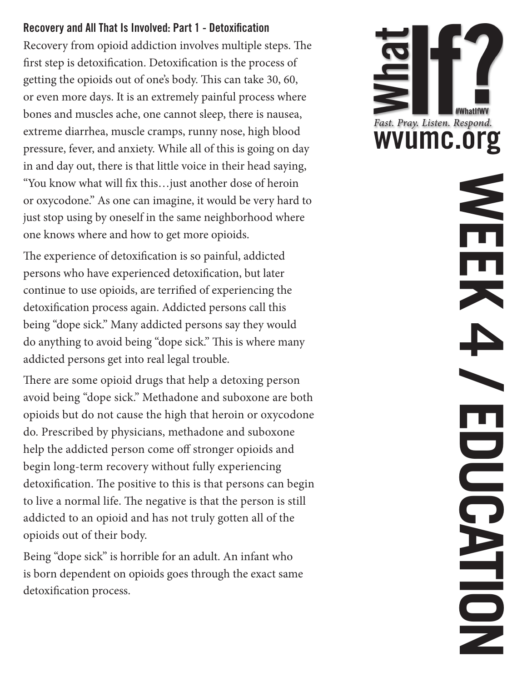#### Recovery and All That Is Involved: Part 1 - Detoxification

Recovery from opioid addiction involves multiple steps. The first step is detoxification. Detoxification is the process of getting the opioids out of one's body. This can take 30, 60, or even more days. It is an extremely painful process where bones and muscles ache, one cannot sleep, there is nausea, extreme diarrhea, muscle cramps, runny nose, high blood pressure, fever, and anxiety. While all of this is going on day in and day out, there is that little voice in their head saying, "You know what will fix this…just another dose of heroin or oxycodone." As one can imagine, it would be very hard to just stop using by oneself in the same neighborhood where one knows where and how to get more opioids.

The experience of detoxification is so painful, addicted persons who have experienced detoxification, but later continue to use opioids, are terrified of experiencing the detoxification process again. Addicted persons call this being "dope sick." Many addicted persons say they would do anything to avoid being "dope sick." This is where many addicted persons get into real legal trouble.

There are some opioid drugs that help a detoxing person avoid being "dope sick." Methadone and suboxone are both opioids but do not cause the high that heroin or oxycodone do. Prescribed by physicians, methadone and suboxone help the addicted person come off stronger opioids and begin long-term recovery without fully experiencing detoxification. The positive to this is that persons can begin to live a normal life. The negative is that the person is still addicted to an opioid and has not truly gotten all of the opioids out of their body.

Being "dope sick" is horrible for an adult. An infant who is born dependent on opioids goes through the exact same detoxification process.



**WEEK 4 / EDUCATION**  $\blacksquare$ DOC. NHON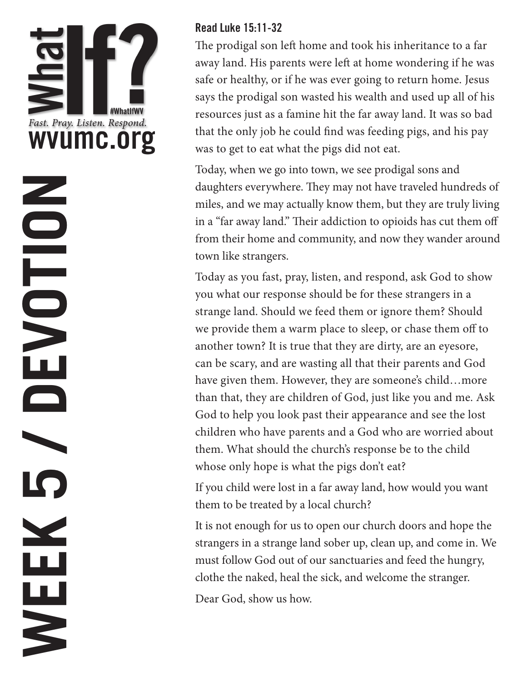

#### Read Luke 15:11-32

The prodigal son left home and took his inheritance to a far away land. His parents were left at home wondering if he was safe or healthy, or if he was ever going to return home. Jesus says the prodigal son wasted his wealth and used up all of his resources just as a famine hit the far away land. It was so bad that the only job he could find was feeding pigs, and his pay was to get to eat what the pigs did not eat.

Today, when we go into town, we see prodigal sons and daughters everywhere. They may not have traveled hundreds of miles, and we may actually know them, but they are truly living in a "far away land." Their addiction to opioids has cut them off from their home and community, and now they wander around town like strangers.

Today as you fast, pray, listen, and respond, ask God to show you what our response should be for these strangers in a strange land. Should we feed them or ignore them? Should we provide them a warm place to sleep, or chase them off to another town? It is true that they are dirty, are an eyesore, can be scary, and are wasting all that their parents and God have given them. However, they are someone's child...more than that, they are children of God, just like you and me. Ask God to help you look past their appearance and see the lost children who have parents and a God who are worried about them. What should the church's response be to the child whose only hope is what the pigs don't eat?

If you child were lost in a far away land, how would you want them to be treated by a local church?

It is not enough for us to open our church doors and hope the strangers in a strange land sober up, clean up, and come in. We must follow God out of our sanctuaries and feed the hungry, clothe the naked, heal the sick, and welcome the stranger.

Dear God, show us how.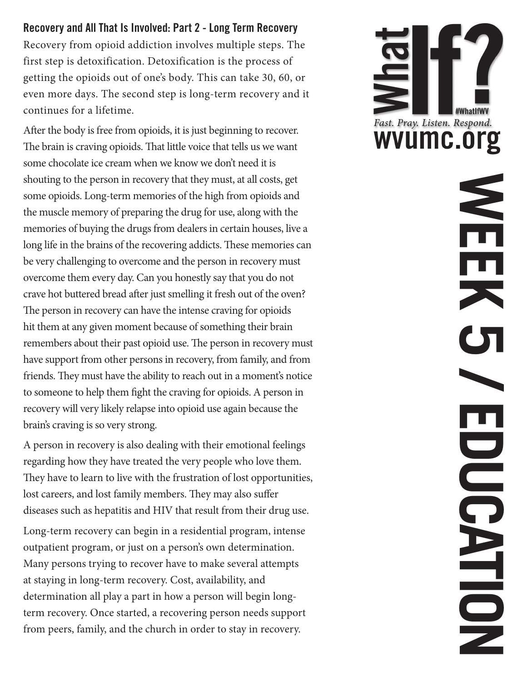#### Recovery and All That Is Involved: Part 2 - Long Term Recovery

Recovery from opioid addiction involves multiple steps. The first step is detoxification. Detoxification is the process of getting the opioids out of one's body. This can take 30, 60, or even more days. The second step is long-term recovery and it continues for a lifetime.

After the body is free from opioids, it is just beginning to recover. The brain is craving opioids. That little voice that tells us we want some chocolate ice cream when we know we don't need it is shouting to the person in recovery that they must, at all costs, get some opioids. Long-term memories of the high from opioids and the muscle memory of preparing the drug for use, along with the memories of buying the drugs from dealers in certain houses, live a long life in the brains of the recovering addicts. These memories can be very challenging to overcome and the person in recovery must overcome them every day. Can you honestly say that you do not crave hot buttered bread after just smelling it fresh out of the oven? The person in recovery can have the intense craving for opioids hit them at any given moment because of something their brain remembers about their past opioid use. The person in recovery must have support from other persons in recovery, from family, and from friends. They must have the ability to reach out in a moment's notice to someone to help them fight the craving for opioids. A person in recovery will very likely relapse into opioid use again because the brain's craving is so very strong.

A person in recovery is also dealing with their emotional feelings regarding how they have treated the very people who love them. They have to learn to live with the frustration of lost opportunities, lost careers, and lost family members. They may also suffer diseases such as hepatitis and HIV that result from their drug use.

Long-term recovery can begin in a residential program, intense outpatient program, or just on a person's own determination. Many persons trying to recover have to make several attempts at staying in long-term recovery. Cost, availability, and determination all play a part in how a person will begin longterm recovery. Once started, a recovering person needs support from peers, family, and the church in order to stay in recovery.



**WEEK 5 / EDUCATION** 

**OOCE** 

N DIDN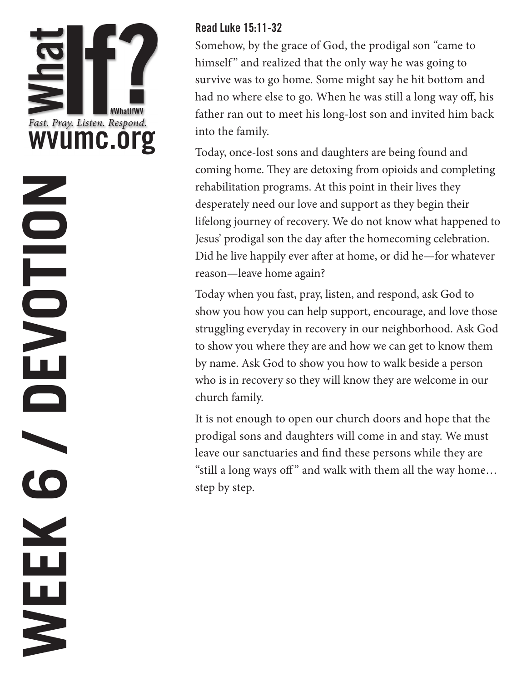## **WEEK 6 / DEVOTION**NOLDED N  $\bullet$ VEEK

#### Read Luke 15:11-32

Somehow, by the grace of God, the prodigal son "came to himself" and realized that the only way he was going to survive was to go home. Some might say he hit bottom and had no where else to go. When he was still a long way off, his father ran out to meet his long-lost son and invited him back into the family.

Today, once-lost sons and daughters are being found and coming home. They are detoxing from opioids and completing rehabilitation programs. At this point in their lives they desperately need our love and support as they begin their lifelong journey of recovery. We do not know what happened to Jesus' prodigal son the day after the homecoming celebration. Did he live happily ever after at home, or did he—for whatever reason—leave home again?

Today when you fast, pray, listen, and respond, ask God to show you how you can help support, encourage, and love those struggling everyday in recovery in our neighborhood. Ask God to show you where they are and how we can get to know them by name. Ask God to show you how to walk beside a person who is in recovery so they will know they are welcome in our church family.

It is not enough to open our church doors and hope that the prodigal sons and daughters will come in and stay. We must leave our sanctuaries and find these persons while they are "still a long ways off" and walk with them all the way home... step by step.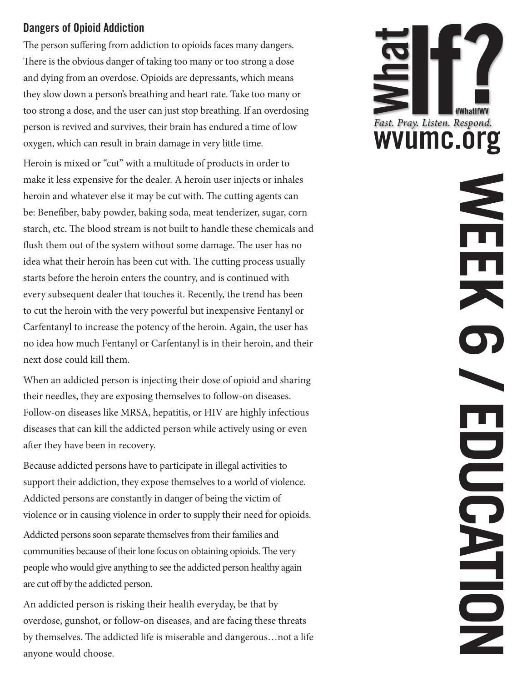#### Dangers of Opioid Addiction

The person suffering from addiction to opioids faces many dangers. There is the obvious danger of taking too many or too strong a dose and dying from an overdose. Opioids are depressants, which means they slow down a person's breathing and heart rate. Take too many or too strong a dose, and the user can just stop breathing. If an overdosing person is revived and survives, their brain has endured a time of low oxygen, which can result in brain damage in very little time.

Heroin is mixed or "cut" with a multitude of products in order to make it less expensive for the dealer. A heroin user injects or inhales heroin and whatever else it may be cut with. The cutting agents can be: Benefiber, baby powder, baking soda, meat tenderizer, sugar, corn starch, etc. The blood stream is not built to handle these chemicals and flush them out of the system without some damage. The user has no idea what their heroin has been cut with. The cutting process usually starts before the heroin enters the country, and is continued with every subsequent dealer that touches it. Recently, the trend has been to cut the heroin with the very powerful but inexpensive Fentanyl or Carfentanyl to increase the potency of the heroin. Again, the user has no idea how much Fentanyl or Carfentanyl is in their heroin, and their next dose could kill them.

When an addicted person is injecting their dose of opioid and sharing their needles, they are exposing themselves to follow-on diseases. Follow-on diseases like MRSA, hepatitis, or HIV are highly infectious diseases that can kill the addicted person while actively using or even after they have been in recovery.

Because addicted persons have to participate in illegal activities to support their addiction, they expose themselves to a world of violence. Addicted persons are constantly in danger of being the victim of violence or in causing violence in order to supply their need for opioids.

Addicted persons soon separate themselves from their families and communities because of their lone focus on obtaining opioids. The very people who would give anything to see the addicted person healthy again are cut off by the addicted person.

An addicted person is risking their health everyday, be that by overdose, gunshot, or follow-on diseases, and are facing these threats by themselves. The addicted life is miserable and dangerous…not a life anyone would choose.



**WEEK 6 / EDUCATION** O OC N D N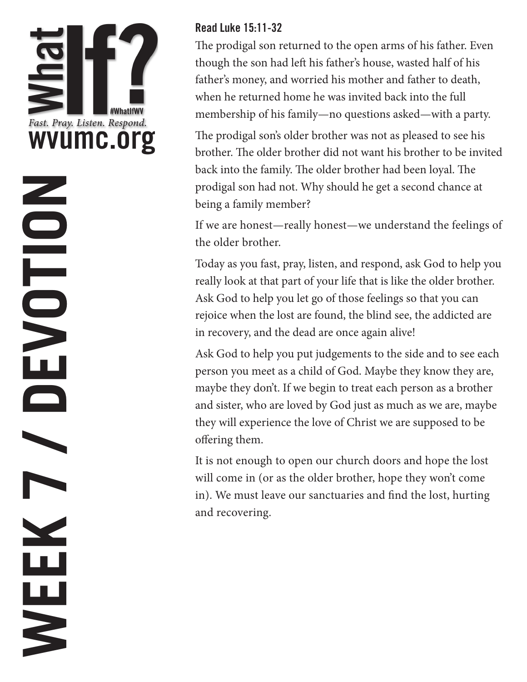# **WEEK 7 / DEVOTION**NOLDED N WEEK

#### Read Luke 15:11-32

The prodigal son returned to the open arms of his father. Even though the son had left his father's house, wasted half of his father's money, and worried his mother and father to death, when he returned home he was invited back into the full membership of his family—no questions asked—with a party.

The prodigal son's older brother was not as pleased to see his brother. The older brother did not want his brother to be invited back into the family. The older brother had been loyal. The prodigal son had not. Why should he get a second chance at being a family member?

If we are honest—really honest—we understand the feelings of the older brother.

Today as you fast, pray, listen, and respond, ask God to help you really look at that part of your life that is like the older brother. Ask God to help you let go of those feelings so that you can rejoice when the lost are found, the blind see, the addicted are in recovery, and the dead are once again alive!

Ask God to help you put judgements to the side and to see each person you meet as a child of God. Maybe they know they are, maybe they don't. If we begin to treat each person as a brother and sister, who are loved by God just as much as we are, maybe they will experience the love of Christ we are supposed to be offering them.

It is not enough to open our church doors and hope the lost will come in (or as the older brother, hope they won't come in). We must leave our sanctuaries and find the lost, hurting and recovering.